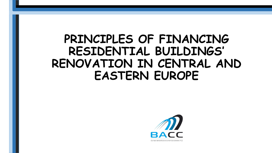## **PRINCIPLES OF FINANCING RESIDENTIAL BUILDINGS' RENOVATION IN CENTRAL AND EASTERN EUROPE**

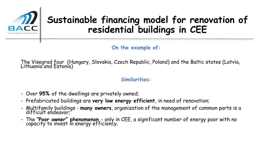

## **Sustainable financing model for renovation of residential buildings in CEE**

**On the example of:**

The Visegrad four (Hungary, Slovakia, Czech Republic, Poland) and the Baltic states (Latvia, Lithuania and Estonia)

#### **Similarities:**

- Over **95%** of the dwellings are privately owned;
- Prefabricated buildings are **very low energy efficient**, in need of renovation;
- Multifamily buildings **many owners**, organization of the management of common parts is a difficult endeavor;
- The **"Poor owner" phenomenon**  only in CEE, a significant number of energy poor with no capacity to invest in energy efficiency.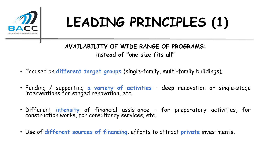

# **LEADING PRINCIPLES (1)**

### **AVAILABILITY OF WIDE RANGE OF PROGRAMS: instead of "one size fits all"**

- Focused on **different target groups** (single-family, multi-family buildings);
- Funding / supporting **a variety of activities** deep renovation or single-stage interventions for staged renovation, etc.
- Different **intensity** of financial assistance for preparatory activities, for construction works, for consultancy services, etc.
- Use of **different sources of financing**, efforts to attract **private** investments,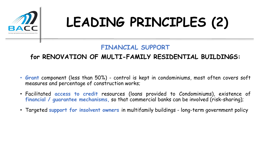

# **LEADING PRINCIPLES (2)**

### **FINANCIAL SUPPORT**

## **for RENOVATION OF MULTI-FAMILY RESIDENTIAL BUILDINGS:**

- **Grant** component (less than 50%) control is kept in condominiums, most often covers soft measures and percentage of construction works;
- Facilitated **access to credit** resources (loans provided to Condominiums), existence of **financial / guarantee mechanisms,** so that commercial banks can be involved (risk-sharing);
- Targeted **support for insolvent owners** in multifamily buildings long-term government policy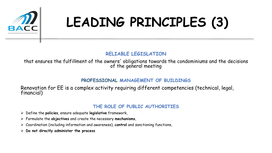

# **LEADING PRINCIPLES (3)**

#### **RELIABLE LEGISLATION**

that ensures the fulfillment of the owners' obligations towards the condominiums and the decisions of the geñeral meeting

#### **PROFESSIONAL MANAGEMENT OF BUILDINGS**

Renovation for EE is a complex activity requiring different competencies (technical, legal, financial)

#### **THE ROLE OF PUBLIC AUTHORITIES**

- Define the **policies**, ensure adequate **legislative** framework,
- Formulate the **objectives** and create the necessary **mechanisms**,
- Coordination (including information and awareness), **control** and sanctioning functions,
- **Do not directly administer the process**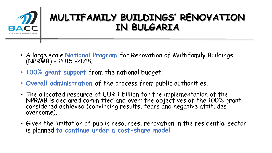

## **MULTIFAMILY BUILDINGS' RENOVATION IN BULGARIA**

- A large scale **National Program** for Renovation of Multifamily Buildings (NPRMB) – 2015 -2018;
- **100% grant support** from the national budget;
- **Overall administration** of the process from public authorities.
- The allocated resource of EUR 1 billion for the implementation of the NPRMB is declared committed and over; the objectives of the 100% grant considered achieved (convincing results, fears and negative attitudes overcome).
- Given the limitation of public resources, renovation in the residential sector is planned **to continue under a cost-share model**.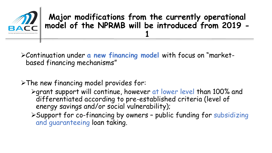

## **Major modifications from the currently operational model of the NPRMB will be introduced from 2019 - 1**

Continuation under **a new financing model** with focus on "marketbased financing mechanisms"

 $\triangleright$ The new financing model provides for: grant support will continue, however at lower level than 100% and differentiated according to pre-established criteria (level of energy savings and/or social vulnerability); Support for co-financing by owners – public funding for subsidizing and guaranteeing loan taking.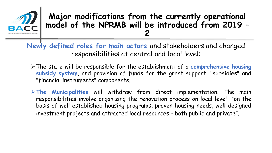

## **Major modifications from the currently operational model of the NPRMB will be introduced from 2019 – 2**

**Newly defined roles for main actors** and stakeholders and changed responsibilities at central and local level:

- The state will be responsible for the establishment of a **comprehensive housing subsidy system**, and provision of funds for the grant support, "subsidies" and "financial instruments" components.
- **The Municipalities** will withdraw from direct implementation. The main responsibilities involve organizing the renovation process on local level "on the basis of well-established housing programs, proven housing needs, well-designed investment projects and attracted local resources - both public and private".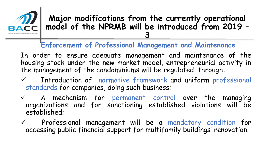

## **Major modifications from the currently operational model of the NPRMB will be introduced from 2019 – 3**

## **Enforcement of Professional Management and Maintenance**

In order to ensure adequate management and maintenance of the housing stock under the new market model, entrepreneurial activity in the management of the condominiums will be regulated through:

- Introduction of normative framework and uniform professional standards for companies, doing such business;
- $\checkmark$  A mechanism for permanent control over the managing organizations and for sanctioning established violations will be established;
- $\checkmark$  Professional management will be a mandatory condition for accessing public financial support for multifamily buildings' renovation.